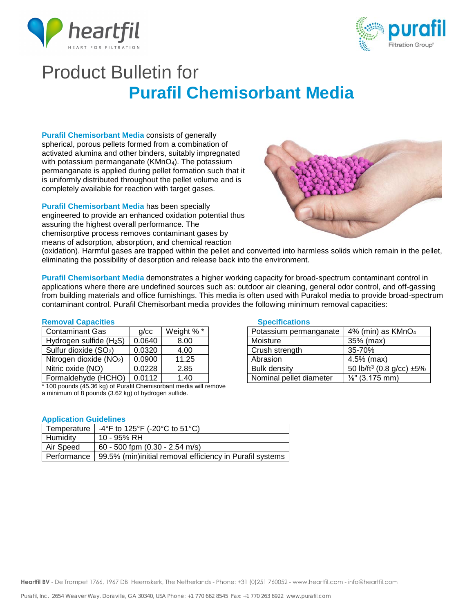



# Product Bulletin for **Purafil Chemisorbant Media**

**Purafil Chemisorbant Media** consists of generally spherical, porous pellets formed from a combination of activated alumina and other binders, suitably impregnated with potassium permanganate (KMnO<sub>4</sub>). The potassium permanganate is applied during pellet formation such that it is uniformly distributed throughout the pellet volume and is completely available for reaction with target gases.

**Purafil Chemisorbant Media** has been specially engineered to provide an enhanced oxidation potential thus assuring the highest overall performance. The chemisorptive process removes contaminant gases by means of adsorption, absorption, and chemical reaction



(oxidation). Harmful gases are trapped within the pellet and converted into harmless solids which remain in the pellet, eliminating the possibility of desorption and release back into the environment.

**Purafil Chemisorbant Media** demonstrates a higher working capacity for broad-spectrum contaminant control in applications where there are undefined sources such as: outdoor air cleaning, general odor control, and off-gassing from building materials and office furnishings. This media is often used with Purakol media to provide broad-spectrum contaminant control. Purafil Chemisorbant media provides the following minimum removal capacities:

### **Removal Capacities**

| <b>Contaminant Gas</b>              | q/cc   | Weight %* |
|-------------------------------------|--------|-----------|
| Hydrogen sulfide (H <sub>2</sub> S) | 0.0640 | 8.00      |
| Sulfur dioxide (SO <sub>2</sub> )   | 0.0320 | 4.00      |
| Nitrogen dioxide (NO <sub>2</sub> ) | 0.0900 | 11.25     |
| Nitric oxide (NO)                   | 0.0228 | 2.85      |
| Formaldehyde (HCHO)                 | 0.0112 | 1.40      |

\* 100 pounds (45.36 kg) of Purafil Chemisorbant media will remove a minimum of 8 pounds (3.62 kg) of hydrogen sulfide.

## **Application Guidelines**

| Temperature | -4°F to 125°F (-20°C to 51°C)                            |
|-------------|----------------------------------------------------------|
| Humidity    | 10 - 95% RH                                              |
| Air Speed   | 60 - 500 fpm (0.30 - 2.54 m/s)                           |
| Performance | 99.5% (min)initial removal efficiency in Purafil systems |

### **Specifications**

| Potassium permanganate  | 4% (min) as KMnO <sub>4</sub>        |  |
|-------------------------|--------------------------------------|--|
| Moisture                | 35% (max)                            |  |
| Crush strength          | 35-70%                               |  |
| Abrasion                | 4.5% (max)                           |  |
| <b>Bulk density</b>     | 50 lb/ft <sup>3</sup> (0.8 g/cc) ±5% |  |
| Nominal pellet diameter | $\frac{1}{8}$ " (3.175 mm)           |  |